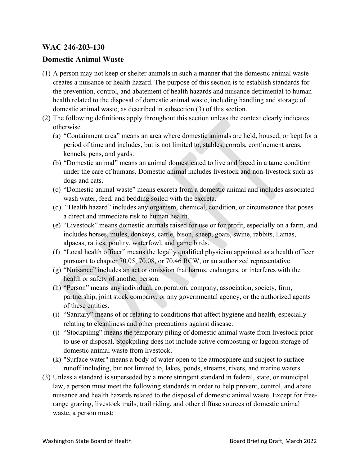## **WAC 246-203-130**

## **Domestic Animal Waste**

- (1) A person may not keep or shelter animals in such a manner that the domestic animal waste creates a nuisance or health hazard. The purpose of this section is to establish standards for the prevention, control, and abatement of health hazards and nuisance detrimental to human health related to the disposal of domestic animal waste, including handling and storage of domestic animal waste, as described in subsection (3) of this section.
- (2) The following definitions apply throughout this section unless the context clearly indicates otherwise.
	- (a) "Containment area" means an area where domestic animals are held, housed, or kept for a period of time and includes, but is not limited to, stables, corrals, confinement areas, kennels, pens, and yards.
	- (b) "Domestic animal" means an animal domesticated to live and breed in a tame condition under the care of humans. Domestic animal includes livestock and non-livestock such as dogs and cats.
	- (c) "Domestic animal waste" means excreta from a domestic animal and includes associated wash water, feed, and bedding soiled with the excreta.
	- (d) "Health hazard" includes any organism, chemical, condition, or circumstance that poses a direct and immediate risk to human health.
	- (e) "Livestock" means domestic animals raised for use or for profit, especially on a farm, and includes horses, mules, donkeys, cattle, bison, sheep, goats, swine, rabbits, llamas, alpacas, ratites, poultry, waterfowl, and game birds.
	- (f) "Local health officer" means the legally qualified physician appointed as a health officer pursuant to chapter 70.05, 70.08, or 70.46 RCW, or an authorized representative.
	- (g) "Nuisance" includes an act or omission that harms, endangers, or interferes with the health or safety of another person.
	- (h) "Person" means any individual, corporation, company, association, society, firm, partnership, joint stock company, or any governmental agency, or the authorized agents of these entities.
	- (i) "Sanitary" means of or relating to conditions that affect hygiene and health, especially relating to cleanliness and other precautions against disease.
	- (j) "Stockpiling" means the temporary piling of domestic animal waste from livestock prior to use or disposal. Stockpiling does not include active composting or lagoon storage of domestic animal waste from livestock.
	- (k) "Surface water" means a body of water open to the atmosphere and subject to surface runoff including, but not limited to, lakes, ponds, streams, rivers, and marine waters.
- (3) Unless a standard is superseded by a more stringent standard in federal, state, or municipal law, a person must meet the following standards in order to help prevent, control, and abate nuisance and health hazards related to the disposal of domestic animal waste. Except for freerange grazing, livestock trails, trail riding, and other diffuse sources of domestic animal waste, a person must: